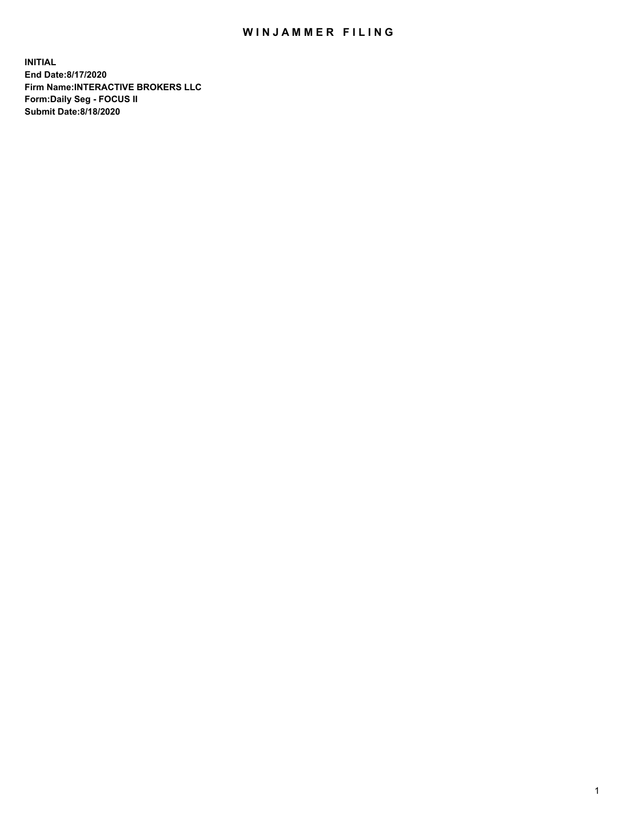## WIN JAMMER FILING

**INITIAL End Date:8/17/2020 Firm Name:INTERACTIVE BROKERS LLC Form:Daily Seg - FOCUS II Submit Date:8/18/2020**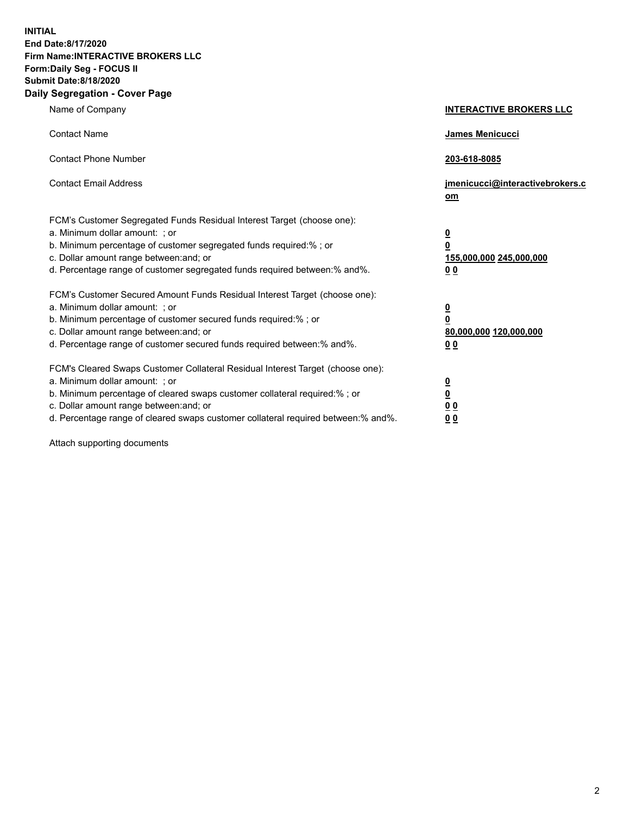**INITIAL End Date:8/17/2020 Firm Name:INTERACTIVE BROKERS LLC Form:Daily Seg - FOCUS II Submit Date:8/18/2020 Daily Segregation - Cover Page**

| Name of Company                                                                                                                                                                                                                                                                                                                | <b>INTERACTIVE BROKERS LLC</b>                                                   |
|--------------------------------------------------------------------------------------------------------------------------------------------------------------------------------------------------------------------------------------------------------------------------------------------------------------------------------|----------------------------------------------------------------------------------|
| <b>Contact Name</b>                                                                                                                                                                                                                                                                                                            | James Menicucci                                                                  |
| <b>Contact Phone Number</b>                                                                                                                                                                                                                                                                                                    | 203-618-8085                                                                     |
| <b>Contact Email Address</b>                                                                                                                                                                                                                                                                                                   | jmenicucci@interactivebrokers.c<br>om                                            |
| FCM's Customer Segregated Funds Residual Interest Target (choose one):<br>a. Minimum dollar amount: ; or<br>b. Minimum percentage of customer segregated funds required:% ; or<br>c. Dollar amount range between: and; or<br>d. Percentage range of customer segregated funds required between:% and%.                         | <u>0</u><br>$\overline{\mathbf{0}}$<br>155,000,000 245,000,000<br>0 <sub>0</sub> |
| FCM's Customer Secured Amount Funds Residual Interest Target (choose one):<br>a. Minimum dollar amount: ; or<br>b. Minimum percentage of customer secured funds required:% ; or<br>c. Dollar amount range between: and; or<br>d. Percentage range of customer secured funds required between:% and%.                           | <u>0</u><br>$\overline{\mathbf{0}}$<br>80,000,000 120,000,000<br>0 <sub>0</sub>  |
| FCM's Cleared Swaps Customer Collateral Residual Interest Target (choose one):<br>a. Minimum dollar amount: ; or<br>b. Minimum percentage of cleared swaps customer collateral required:% ; or<br>c. Dollar amount range between: and; or<br>d. Percentage range of cleared swaps customer collateral required between:% and%. | <u>0</u><br>$\underline{\mathbf{0}}$<br>0 <sub>0</sub><br>0 <sub>0</sub>         |

Attach supporting documents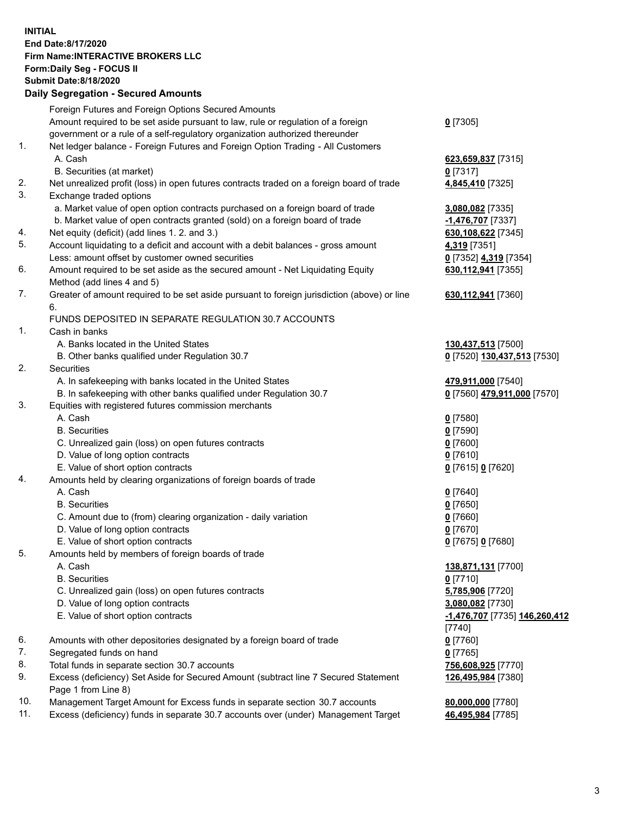**INITIAL End Date:8/17/2020 Firm Name:INTERACTIVE BROKERS LLC Form:Daily Seg - FOCUS II Submit Date:8/18/2020 Daily Segregation - Secured Amounts**

|     | Daily Segregation - Secured Amounts                                                         |                               |
|-----|---------------------------------------------------------------------------------------------|-------------------------------|
|     | Foreign Futures and Foreign Options Secured Amounts                                         |                               |
|     | Amount required to be set aside pursuant to law, rule or regulation of a foreign            | $0$ [7305]                    |
|     | government or a rule of a self-regulatory organization authorized thereunder                |                               |
| 1.  | Net ledger balance - Foreign Futures and Foreign Option Trading - All Customers             |                               |
|     | A. Cash                                                                                     | 623,659,837 [7315]            |
|     | B. Securities (at market)                                                                   | $0$ [7317]                    |
| 2.  | Net unrealized profit (loss) in open futures contracts traded on a foreign board of trade   | 4,845,410 [7325]              |
| 3.  | Exchange traded options                                                                     |                               |
|     | a. Market value of open option contracts purchased on a foreign board of trade              | 3,080,082 [7335]              |
|     | b. Market value of open contracts granted (sold) on a foreign board of trade                | -1,476,707 [7337]             |
| 4.  | Net equity (deficit) (add lines 1. 2. and 3.)                                               | 630,108,622 [7345]            |
| 5.  | Account liquidating to a deficit and account with a debit balances - gross amount           | 4,319 [7351]                  |
|     | Less: amount offset by customer owned securities                                            | 0 [7352] 4,319 [7354]         |
| 6.  | Amount required to be set aside as the secured amount - Net Liquidating Equity              | 630, 112, 941 [7355]          |
|     | Method (add lines 4 and 5)                                                                  |                               |
| 7.  | Greater of amount required to be set aside pursuant to foreign jurisdiction (above) or line | 630,112,941 [7360]            |
|     | 6.                                                                                          |                               |
|     | FUNDS DEPOSITED IN SEPARATE REGULATION 30.7 ACCOUNTS                                        |                               |
| 1.  | Cash in banks                                                                               |                               |
|     | A. Banks located in the United States                                                       | 130,437,513 [7500]            |
|     | B. Other banks qualified under Regulation 30.7                                              | 0 [7520] 130,437,513 [7530]   |
| 2.  | Securities                                                                                  |                               |
|     | A. In safekeeping with banks located in the United States                                   | 479,911,000 [7540]            |
|     | B. In safekeeping with other banks qualified under Regulation 30.7                          | 0 [7560] 479,911,000 [7570]   |
| 3.  | Equities with registered futures commission merchants                                       |                               |
|     | A. Cash                                                                                     | $0$ [7580]                    |
|     | <b>B.</b> Securities                                                                        | $0$ [7590]                    |
|     | C. Unrealized gain (loss) on open futures contracts                                         | $0$ [7600]                    |
|     | D. Value of long option contracts                                                           | $0$ [7610]                    |
|     | E. Value of short option contracts                                                          | 0 [7615] 0 [7620]             |
| 4.  | Amounts held by clearing organizations of foreign boards of trade                           |                               |
|     | A. Cash                                                                                     |                               |
|     | <b>B.</b> Securities                                                                        | $Q$ [7640]                    |
|     |                                                                                             | $0$ [7650]<br>$0$ [7660]      |
|     | C. Amount due to (from) clearing organization - daily variation                             |                               |
|     | D. Value of long option contracts                                                           | $0$ [7670]                    |
| 5.  | E. Value of short option contracts                                                          | 0 [7675] 0 [7680]             |
|     | Amounts held by members of foreign boards of trade                                          |                               |
|     | A. Cash<br><b>B.</b> Securities                                                             | 138,871,131 [7700]            |
|     |                                                                                             | $0$ [7710]                    |
|     | C. Unrealized gain (loss) on open futures contracts                                         | 5,785,906 [7720]              |
|     | D. Value of long option contracts                                                           | 3,080,082 [7730]              |
|     | E. Value of short option contracts                                                          | -1,476,707 [7735] 146,260,412 |
|     |                                                                                             | [7740]                        |
| 6.  | Amounts with other depositories designated by a foreign board of trade                      | $0$ [7760]                    |
| 7.  | Segregated funds on hand                                                                    | $0$ [7765]                    |
| 8.  | Total funds in separate section 30.7 accounts                                               | 756,608,925 [7770]            |
| 9.  | Excess (deficiency) Set Aside for Secured Amount (subtract line 7 Secured Statement         | 126,495,984 [7380]            |
|     | Page 1 from Line 8)                                                                         |                               |
| 10. | Management Target Amount for Excess funds in separate section 30.7 accounts                 | 80,000,000 [7780]             |
| 11. | Excess (deficiency) funds in separate 30.7 accounts over (under) Management Target          | 46,495,984 [7785]             |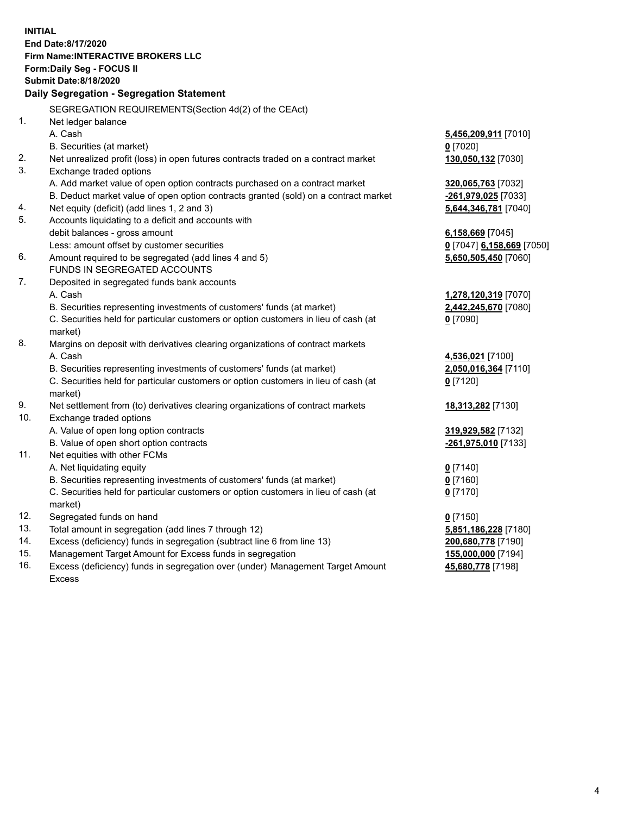**INITIAL End Date:8/17/2020 Firm Name:INTERACTIVE BROKERS LLC Form:Daily Seg - FOCUS II Submit Date:8/18/2020 Daily Segregation - Segregation Statement** SEGREGATION REQUIREMENTS(Section 4d(2) of the CEAct) 1. Net ledger balance A. Cash **5,456,209,911** [7010] B. Securities (at market) **0** [7020] 2. Net unrealized profit (loss) in open futures contracts traded on a contract market **130,050,132** [7030] 3. Exchange traded options A. Add market value of open option contracts purchased on a contract market **320,065,763** [7032] B. Deduct market value of open option contracts granted (sold) on a contract market **-261,979,025** [7033] 4. Net equity (deficit) (add lines 1, 2 and 3) **5,644,346,781** [7040] 5. Accounts liquidating to a deficit and accounts with debit balances - gross amount **6,158,669** [7045] Less: amount offset by customer securities **0** [7047] **6,158,669** [7050] 6. Amount required to be segregated (add lines 4 and 5) **5,650,505,450** [7060] FUNDS IN SEGREGATED ACCOUNTS 7. Deposited in segregated funds bank accounts A. Cash **1,278,120,319** [7070] B. Securities representing investments of customers' funds (at market) **2,442,245,670** [7080] C. Securities held for particular customers or option customers in lieu of cash (at market) **0** [7090] 8. Margins on deposit with derivatives clearing organizations of contract markets A. Cash **4,536,021** [7100] B. Securities representing investments of customers' funds (at market) **2,050,016,364** [7110] C. Securities held for particular customers or option customers in lieu of cash (at market) **0** [7120] 9. Net settlement from (to) derivatives clearing organizations of contract markets **18,313,282** [7130] 10. Exchange traded options A. Value of open long option contracts **319,929,582** [7132] B. Value of open short option contracts **-261,975,010** [7133] 11. Net equities with other FCMs A. Net liquidating equity **0** [7140] B. Securities representing investments of customers' funds (at market) **0** [7160] C. Securities held for particular customers or option customers in lieu of cash (at market) **0** [7170] 12. Segregated funds on hand **0** [7150] 13. Total amount in segregation (add lines 7 through 12) **5,851,186,228** [7180] 14. Excess (deficiency) funds in segregation (subtract line 6 from line 13) **200,680,778** [7190] 15. Management Target Amount for Excess funds in segregation **155,000,000** [7194] 16. Excess (deficiency) funds in segregation over (under) Management Target Amount **45,680,778** [7198]

Excess